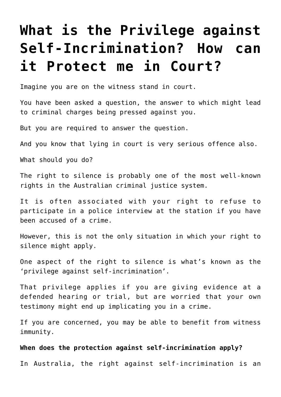## **[What is the Privilege against](https://downingcentrecourt.com.au/blog/what-is-the-privilege-against-self-incrimination-how-can-it-protect-me-in-court/) [Self-Incrimination? How can](https://downingcentrecourt.com.au/blog/what-is-the-privilege-against-self-incrimination-how-can-it-protect-me-in-court/) [it Protect me in Court?](https://downingcentrecourt.com.au/blog/what-is-the-privilege-against-self-incrimination-how-can-it-protect-me-in-court/)**

Imagine you are on the witness stand in court.

You have been asked a question, the answer to which might lead to criminal charges being pressed against you.

But you are required to answer the question.

And you know that lying in court is very serious offence also.

What should you do?

The right to silence is probably one of the most well-known rights in the Australian criminal justice system.

It is often associated with your right to refuse to participate in a police interview at the station if you have been accused of a crime.

However, this is not the only situation in which your right to silence might apply.

One aspect of the right to silence is what's known as the 'privilege against self-incrimination'.

That privilege applies if you are giving evidence at a defended hearing or trial, but are worried that your own testimony might end up implicating you in a crime.

If you are concerned, you may be able to benefit from witness immunity.

## **When does the protection against self-incrimination apply?**

In Australia, the right against self-incrimination is an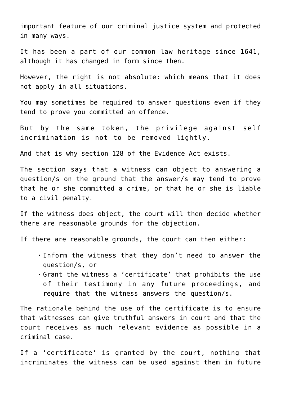important feature of our criminal justice system and protected in many ways.

It has been a part of our common law heritage since 1641, although it has changed in form since then.

However, the right is not absolute: which means that it does not apply in all situations.

You may sometimes be required to answer questions even if they tend to prove you committed an offence.

But by the same token, the privilege against self incrimination is not to be removed lightly.

And that is why section 128 of the Evidence Act exists.

The section says that a witness can object to answering a question/s on the ground that the answer/s may tend to prove that he or she committed a crime, or that he or she is liable to a civil penalty.

If the witness does object, the court will then decide whether there are reasonable grounds for the objection.

If there are reasonable grounds, the court can then either:

- Inform the witness that they don't need to answer the question/s, or
- Grant the witness a 'certificate' that prohibits the use of their testimony in any future proceedings, and require that the witness answers the question/s.

The rationale behind the use of the certificate is to ensure that witnesses can give truthful answers in court and that the court receives as much relevant evidence as possible in a criminal case.

If a 'certificate' is granted by the court, nothing that incriminates the witness can be used against them in future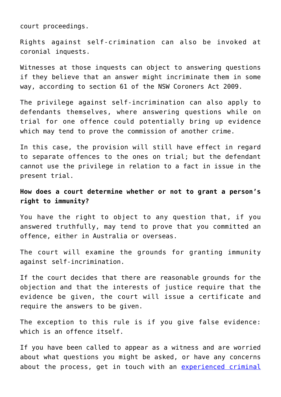court proceedings.

Rights against self-crimination can also be invoked at coronial inquests.

Witnesses at those inquests can object to answering questions if they believe that an answer might incriminate them in some way, according to section 61 of the NSW Coroners Act 2009.

The privilege against self-incrimination can also apply to defendants themselves, where answering questions while on trial for one offence could potentially bring up evidence which may tend to prove the commission of another crime.

In this case, the provision will still have effect in regard to separate offences to the ones on trial; but the defendant cannot use the privilege in relation to a fact in issue in the present trial.

**How does a court determine whether or not to grant a person's right to immunity?**

You have the right to object to any question that, if you answered truthfully, may tend to prove that you committed an offence, either in Australia or overseas.

The court will examine the grounds for granting immunity against self-incrimination.

If the court decides that there are reasonable grounds for the objection and that the interests of justice require that the evidence be given, the court will issue a certificate and require the answers to be given.

The exception to this rule is if you give false evidence: which is an offence itself.

If you have been called to appear as a witness and are worried about what questions you might be asked, or have any concerns about the process, get in touch with an [experienced criminal](https://downingcentrecourt.com.au/about-us/)